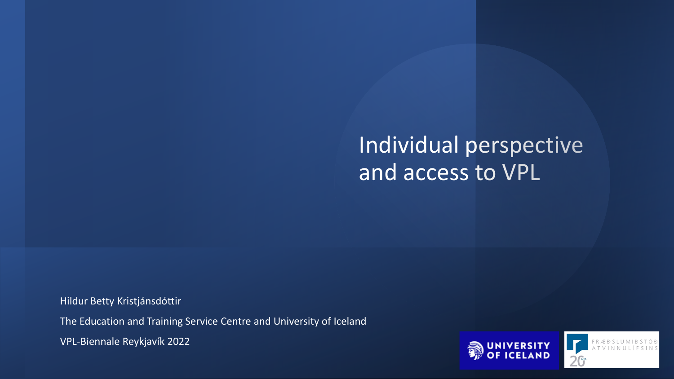## Individual perspective and access to VPL

Hildur Betty Kristjánsdóttir

The Education and Training Service Centre and University of Iceland

VPL-Biennale Reykjavík 2022



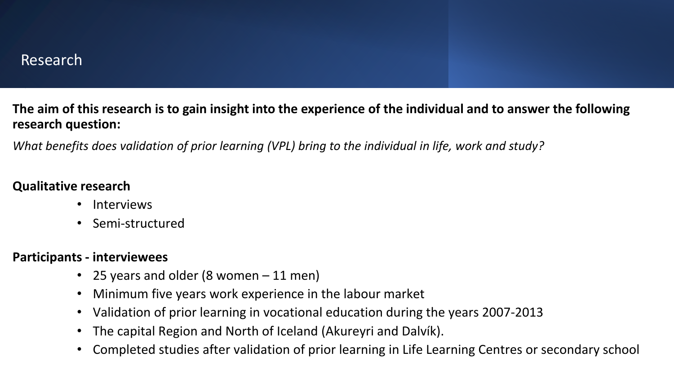**The aim of this research is to gain insight into the experience of the individual and to answer the following research question:**

*What benefits does validation of prior learning (VPL) bring to the individual in life, work and study?* 

#### **Qualitative research**

- Interviews
- Semi-structured

#### **Participants - interviewees**

- 25 years and older (8 women 11 men)
- Minimum five years work experience in the labour market
- Validation of prior learning in vocational education during the years 2007-2013
- The capital Region and North of Iceland (Akureyri and Dalvík).
- Completed studies after validation of prior learning in Life Learning Centres or secondary school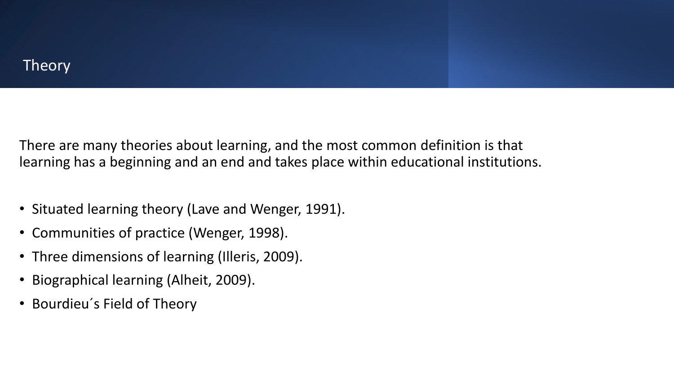### **Theory**

There are many theories about learning, and the most common definition is that learning has a beginning and an end and takes place within educational institutions.

- Situated learning theory (Lave and Wenger, 1991).
- Communities of practice (Wenger, 1998).
- Three dimensions of learning (Illeris, 2009).
- Biographical learning (Alheit, 2009).
- Bourdieu´s Field of Theory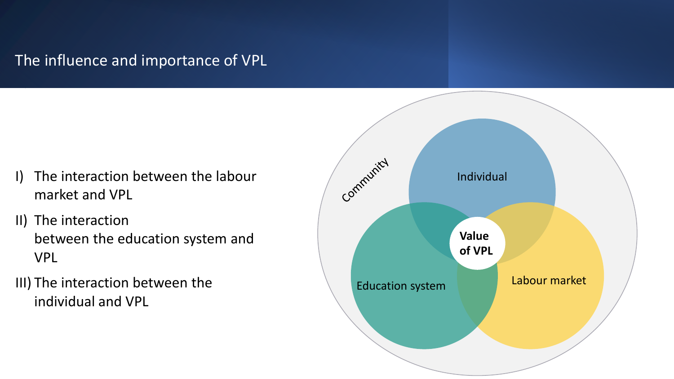## The influence and importance of VPL

- I) The interaction between the labour market and VPL
- II) The interaction between the education system and VPL
- III) The interaction between the individual and VPL

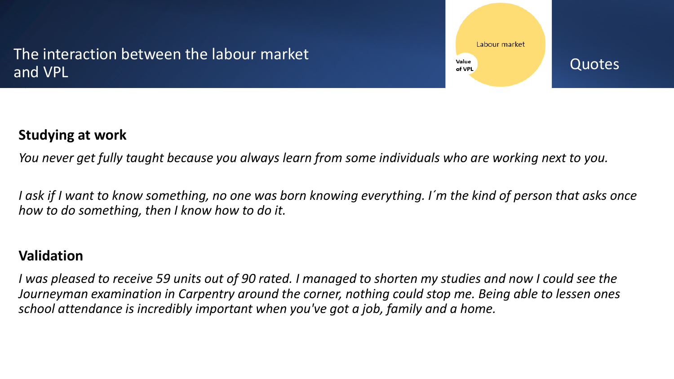## The interaction between the labour market and VPL



#### **Studying at work**

*You never get fully taught because you always learn from some individuals who are working next to you.*

*I ask if I want to know something, no one was born knowing everything. I´m the kind of person that asks once how to do something, then I know how to do it.*

#### **Validation**

*I was pleased to receive 59 units out of 90 rated. I managed to shorten my studies and now I could see the Journeyman examination in Carpentry around the corner, nothing could stop me. Being able to lessen ones school attendance is incredibly important when you've got a job, family and a home.*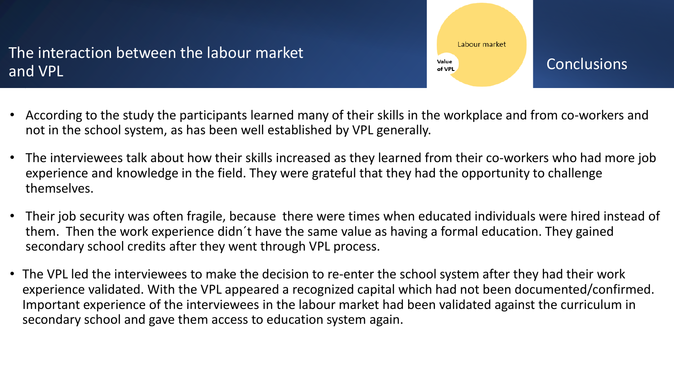## The interaction between the labour market and VPL



- According to the study the participants learned many of their skills in the workplace and from co-workers and not in the school system, as has been well established by VPL generally.
- The interviewees talk about how their skills increased as they learned from their co-workers who had more job experience and knowledge in the field. They were grateful that they had the opportunity to challenge themselves.
- Their job security was often fragile, because there were times when educated individuals were hired instead of them. Then the work experience didn´t have the same value as having a formal education. They gained secondary school credits after they went through VPL process.
- The VPL led the interviewees to make the decision to re-enter the school system after they had their work experience validated. With the VPL appeared a recognized capital which had not been documented/confirmed. Important experience of the interviewees in the labour market had been validated against the curriculum in secondary school and gave them access to education system again.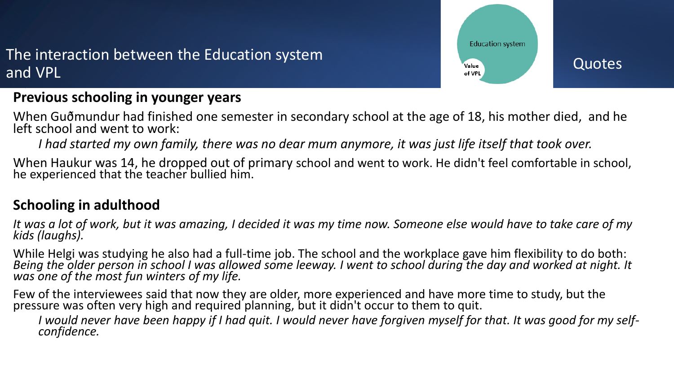## The interaction between the Education system and VPL

#### **Previous schooling in younger years**

When Guðmundur had finished one semester in secondary school at the age of 18, his mother died, and he left school and went to work:

*I had started my own family, there was no dear mum anymore, it was just life itself that took over.*

When Haukur was 14, he dropped out of primary school and went to work. He didn't feel comfortable in school, he experienced that the teacher bullied him.

#### **Schooling in adulthood**

*It was a lot of work, but it was amazing, I decided it was my time now. Someone else would have to take care of my kids (laughs).*

While Helgi was studying he also had a full-time job. The school and the workplace gave him flexibility to do both: *Being the older person in school I was allowed some leeway. I went to school during the day and worked at night. It was one of the most fun winters of my life.*

Few of the interviewees said that now they are older, more experienced and have more time to study, but the pressure was often very high and required planning, but it didn't occur to them to quit.

*I would never have been happy if I had quit. I would never have forgiven myself for that. It was good for my selfconfidence.*

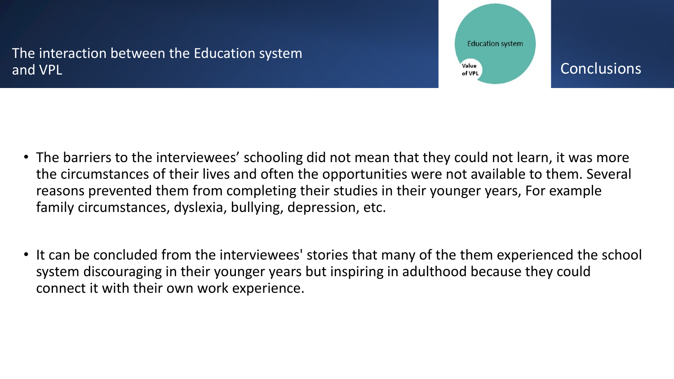The interaction between the Education system and VPL





- The barriers to the interviewees' schooling did not mean that they could not learn, it was more the circumstances of their lives and often the opportunities were not available to them. Several reasons prevented them from completing their studies in their younger years, For example family circumstances, dyslexia, bullying, depression, etc.
- It can be concluded from the interviewees' stories that many of the them experienced the school system discouraging in their younger years but inspiring in adulthood because they could connect it with their own work experience.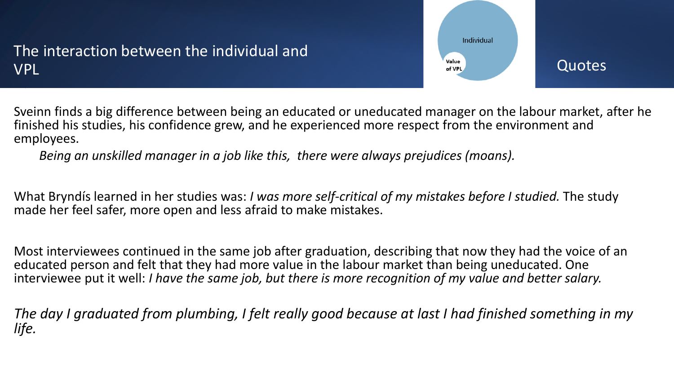## The interaction between the individual and VPL



Sveinn finds a big difference between being an educated or uneducated manager on the labour market, after he finished his studies, his confidence grew, and he experienced more respect from the environment and employees.

*Being an unskilled manager in a job like this, there were always prejudices (moans).* 

What Bryndís learned in her studies was: *I was more self-critical of my mistakes before I studied.* The study made her feel safer, more open and less afraid to make mistakes.

Most interviewees continued in the same job after graduation, describing that now they had the voice of an educated person and felt that they had more value in the labour market than being uneducated. One interviewee put it well: *I have the same job, but there is more recognition of my value and better salary.*

*The day I graduated from plumbing, I felt really good because at last I had finished something in my life.*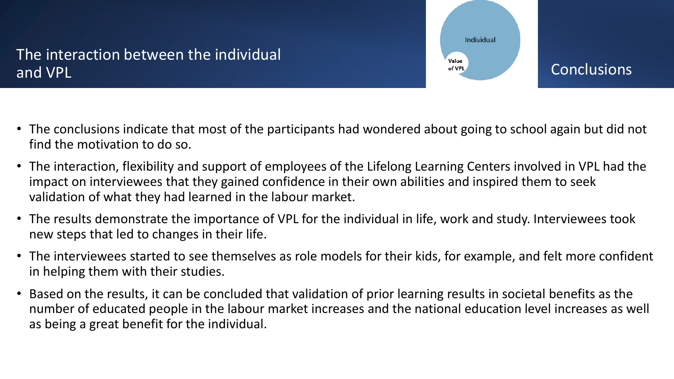## The interaction between the individual and VPL



- The conclusions indicate that most of the participants had wondered about going to school again but did not find the motivation to do so.
- The interaction, flexibility and support of employees of the Lifelong Learning Centers involved in VPL had the impact on interviewees that they gained confidence in their own abilities and inspired them to seek validation of what they had learned in the labour market.
- The results demonstrate the importance of VPL for the individual in life, work and study. Interviewees took new steps that led to changes in their life.
- The interviewees started to see themselves as role models for their kids, for example, and felt more confident in helping them with their studies.
- Based on the results, it can be concluded that validation of prior learning results in societal benefits as the number of educated people in the labour market increases and the national education level increases as well as being a great benefit for the individual.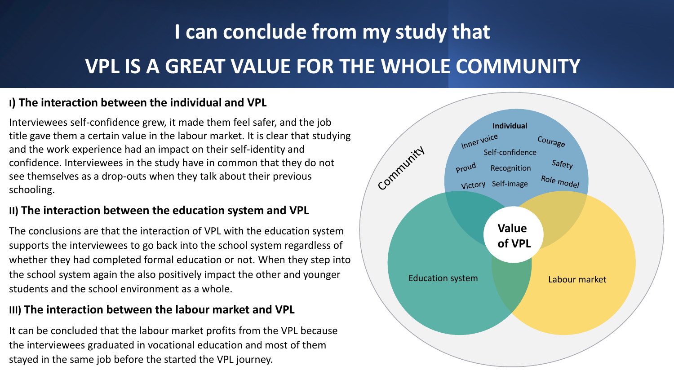# **I can conclude from my study that VPL IS A GREAT VALUE FOR THE WHOLE COMMUNITY**

#### **I) The interaction between the individual and VPL**

Interviewees self-confidence grew, it made them feel safer, and the job title gave them a certain value in the labour market. It is clear that studying and the work experience had an impact on their self-identity and confidence. Interviewees in the study have in common that they do not see themselves as a drop-outs when they talk about their previous schooling.

#### **II) The interaction between the education system and VPL**

The conclusions are that the interaction of VPL with the education system supports the interviewees to go back into the school system regardless of whether they had completed formal education or not. When they step into the school system again the also positively impact the other and younger students and the school environment as a whole.

#### **III) The interaction between the labour market and VPL**

It can be concluded that the labour market profits from the VPL because the interviewees graduated in vocational education and most of them stayed in the same job before the started the VPL journey.

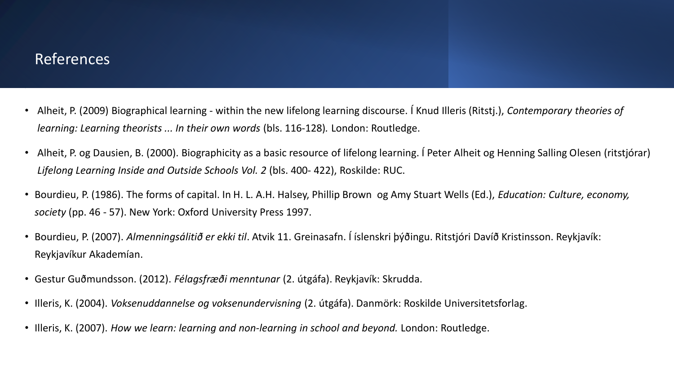#### References

- Alheit, P. (2009) Biographical learning within the new lifelong learning discourse. Í Knud Illeris (Ritstj.), *Contemporary theories of learning: Learning theorists ... In their own words* (bls. 116-128)*.* London: Routledge.
- Alheit, P. og Dausien, B. (2000). Biographicity as a basic resource of lifelong learning. Í Peter Alheit og Henning Salling Olesen (ritstjórar) *Lifelong Learning Inside and Outside Schools Vol. 2* (bls. 400- 422), Roskilde: RUC.
- Bourdieu, P. (1986). The forms of capital. In H. L. A.H. Halsey, Phillip Brown og Amy Stuart Wells (Ed.), *Education: Culture, economy, society* (pp. 46 - 57). New York: Oxford University Press 1997.
- Bourdieu, P. (2007). *Almenningsálitið er ekki til*. Atvik 11. Greinasafn. Í íslenskri þýðingu. Ritstjóri Davíð Kristinsson. Reykjavík: Reykjavíkur Akademían.
- Gestur Guðmundsson. (2012). *Félagsfræði menntunar* (2. útgáfa). Reykjavík: Skrudda.
- Illeris, K. (2004). *Voksenuddannelse og voksenundervisning* (2. útgáfa). Danmörk: Roskilde Universitetsforlag.
- Illeris, K. (2007). *How we learn: learning and non-learning in school and beyond.* London: Routledge.